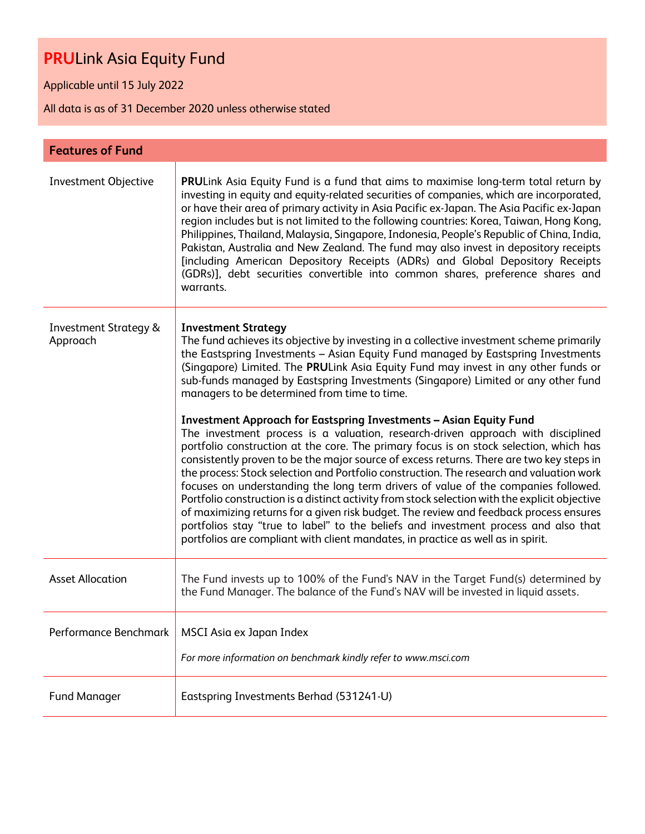Applicable until 15 July 2022

| <b>Features of Fund</b>                      |                                                                                                                                                                                                                                                                                                                                                                                                                                                                                                                                                                                                                                                                                                                                                                                                                                                                                                                                                                                                                                                                                                                                                                                                                                                                                                                                                       |
|----------------------------------------------|-------------------------------------------------------------------------------------------------------------------------------------------------------------------------------------------------------------------------------------------------------------------------------------------------------------------------------------------------------------------------------------------------------------------------------------------------------------------------------------------------------------------------------------------------------------------------------------------------------------------------------------------------------------------------------------------------------------------------------------------------------------------------------------------------------------------------------------------------------------------------------------------------------------------------------------------------------------------------------------------------------------------------------------------------------------------------------------------------------------------------------------------------------------------------------------------------------------------------------------------------------------------------------------------------------------------------------------------------------|
| <b>Investment Objective</b>                  | PRULink Asia Equity Fund is a fund that aims to maximise long-term total return by<br>investing in equity and equity-related securities of companies, which are incorporated,<br>or have their area of primary activity in Asia Pacific ex-Japan. The Asia Pacific ex-Japan<br>region includes but is not limited to the following countries: Korea, Taiwan, Hong Kong,<br>Philippines, Thailand, Malaysia, Singapore, Indonesia, People's Republic of China, India,<br>Pakistan, Australia and New Zealand. The fund may also invest in depository receipts<br>[including American Depository Receipts (ADRs) and Global Depository Receipts<br>(GDRs)], debt securities convertible into common shares, preference shares and<br>warrants.                                                                                                                                                                                                                                                                                                                                                                                                                                                                                                                                                                                                          |
| <b>Investment Strategy &amp;</b><br>Approach | <b>Investment Strategy</b><br>The fund achieves its objective by investing in a collective investment scheme primarily<br>the Eastspring Investments - Asian Equity Fund managed by Eastspring Investments<br>(Singapore) Limited. The PRULink Asia Equity Fund may invest in any other funds or<br>sub-funds managed by Eastspring Investments (Singapore) Limited or any other fund<br>managers to be determined from time to time.<br><b>Investment Approach for Eastspring Investments - Asian Equity Fund</b><br>The investment process is a valuation, research-driven approach with disciplined<br>portfolio construction at the core. The primary focus is on stock selection, which has<br>consistently proven to be the major source of excess returns. There are two key steps in<br>the process: Stock selection and Portfolio construction. The research and valuation work<br>focuses on understanding the long term drivers of value of the companies followed.<br>Portfolio construction is a distinct activity from stock selection with the explicit objective<br>of maximizing returns for a given risk budget. The review and feedback process ensures<br>portfolios stay "true to label" to the beliefs and investment process and also that<br>portfolios are compliant with client mandates, in practice as well as in spirit. |
| <b>Asset Allocation</b>                      | The Fund invests up to 100% of the Fund's NAV in the Target Fund(s) determined by<br>the Fund Manager. The balance of the Fund's NAV will be invested in liquid assets.                                                                                                                                                                                                                                                                                                                                                                                                                                                                                                                                                                                                                                                                                                                                                                                                                                                                                                                                                                                                                                                                                                                                                                               |
| Performance Benchmark                        | MSCI Asia ex Japan Index<br>For more information on benchmark kindly refer to www.msci.com                                                                                                                                                                                                                                                                                                                                                                                                                                                                                                                                                                                                                                                                                                                                                                                                                                                                                                                                                                                                                                                                                                                                                                                                                                                            |
| <b>Fund Manager</b>                          | Eastspring Investments Berhad (531241-U)                                                                                                                                                                                                                                                                                                                                                                                                                                                                                                                                                                                                                                                                                                                                                                                                                                                                                                                                                                                                                                                                                                                                                                                                                                                                                                              |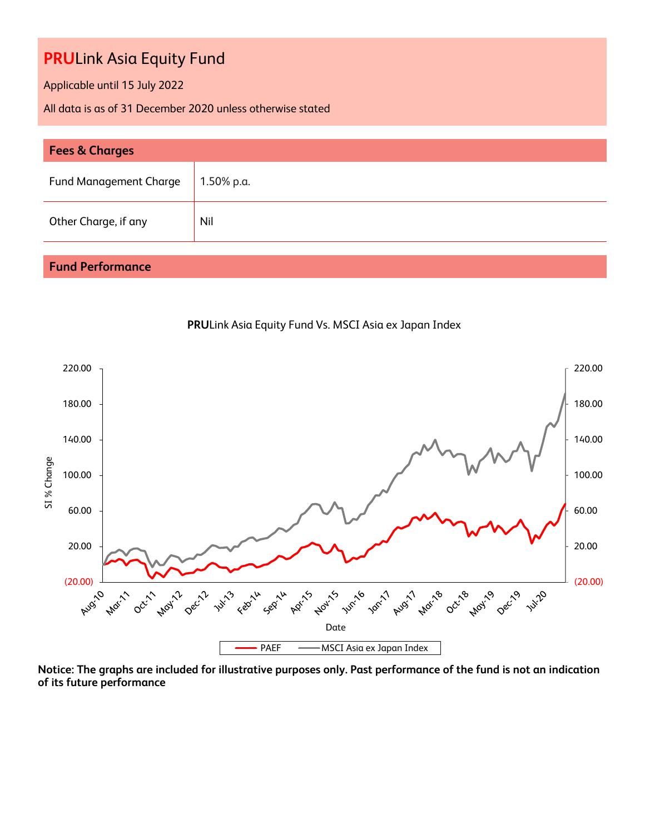Applicable until 15 July 2022

All data is as of 31 December 2020 unless otherwise stated

| <b>Fees &amp; Charges</b>     |              |  |  |  |
|-------------------------------|--------------|--|--|--|
| <b>Fund Management Charge</b> | , 1.50% p.a. |  |  |  |
| Other Charge, if any          | Nil          |  |  |  |

### **Fund Performance**



**PRU**Link Asia Equity Fund Vs. MSCI Asia ex Japan Index

**Notice: The graphs are included for illustrative purposes only. Past performance of the fund is not an indication of its future performance**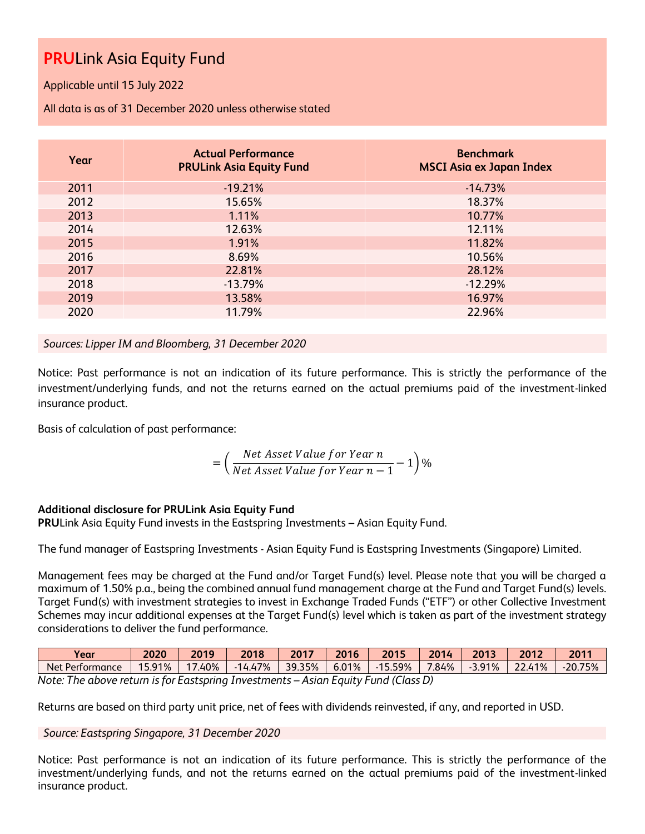Applicable until 15 July 2022

All data is as of 31 December 2020 unless otherwise stated

| Year | <b>Actual Performance</b><br><b>PRULink Asia Equity Fund</b> | <b>Benchmark</b><br><b>MSCI Asia ex Japan Index</b> |
|------|--------------------------------------------------------------|-----------------------------------------------------|
| 2011 | $-19.21%$                                                    | $-14.73%$                                           |
| 2012 | 15.65%                                                       | 18.37%                                              |
| 2013 | 1.11%                                                        | 10.77%                                              |
| 2014 | 12.63%                                                       | 12.11%                                              |
| 2015 | 1.91%                                                        | 11.82%                                              |
| 2016 | 8.69%                                                        | 10.56%                                              |
| 2017 | 22.81%                                                       | 28.12%                                              |
| 2018 | $-13.79%$                                                    | $-12.29%$                                           |
| 2019 | 13.58%                                                       | 16.97%                                              |
| 2020 | 11.79%                                                       | 22.96%                                              |

*Sources: Lipper IM and Bloomberg, 31 December 2020*

Notice: Past performance is not an indication of its future performance. This is strictly the performance of the investment/underlying funds, and not the returns earned on the actual premiums paid of the investment-linked insurance product.

Basis of calculation of past performance:

$$
= \left(\frac{Net\ Asset\ Value\ for\ Year\ n}{Net\ Asset\ Value\ for\ Year\ n-1} - 1\right)\%
$$

#### **Additional disclosure for PRULink Asia Equity Fund**

**PRU**Link Asia Equity Fund invests in the Eastspring Investments – Asian Equity Fund.

The fund manager of Eastspring Investments - Asian Equity Fund is Eastspring Investments (Singapore) Limited.

Management fees may be charged at the Fund and/or Target Fund(s) level. Please note that you will be charged a maximum of 1.50% p.a., being the combined annual fund management charge at the Fund and Target Fund(s) levels. Target Fund(s) with investment strategies to invest in Exchange Traded Funds ("ETF") or other Collective Investment Schemes may incur additional expenses at the Target Fund(s) level which is taken as part of the investment strategy considerations to deliver the fund performance.

| Year                                                                                            | 2020 | 2019 | 2018 | 2017 | 2016 | $\sqrt{2015}$ |  | 2014   2013 | 2012 | 2011      |
|-------------------------------------------------------------------------------------------------|------|------|------|------|------|---------------|--|-------------|------|-----------|
| Net Performance   15.91%   17.40%   14.47%   39.35%   6.01%   -15.59%   7.84%   -3.91%   22.41% |      |      |      |      |      |               |  |             |      | $-20.75%$ |
| Note: The above return is for Eastspring Investments – Asian Equity Fund (Class D)              |      |      |      |      |      |               |  |             |      |           |

Returns are based on third party unit price, net of fees with dividends reinvested, if any, and reported in USD.

*Source: Eastspring Singapore, 31 December 2020*

Notice: Past performance is not an indication of its future performance. This is strictly the performance of the investment/underlying funds, and not the returns earned on the actual premiums paid of the investment-linked insurance product.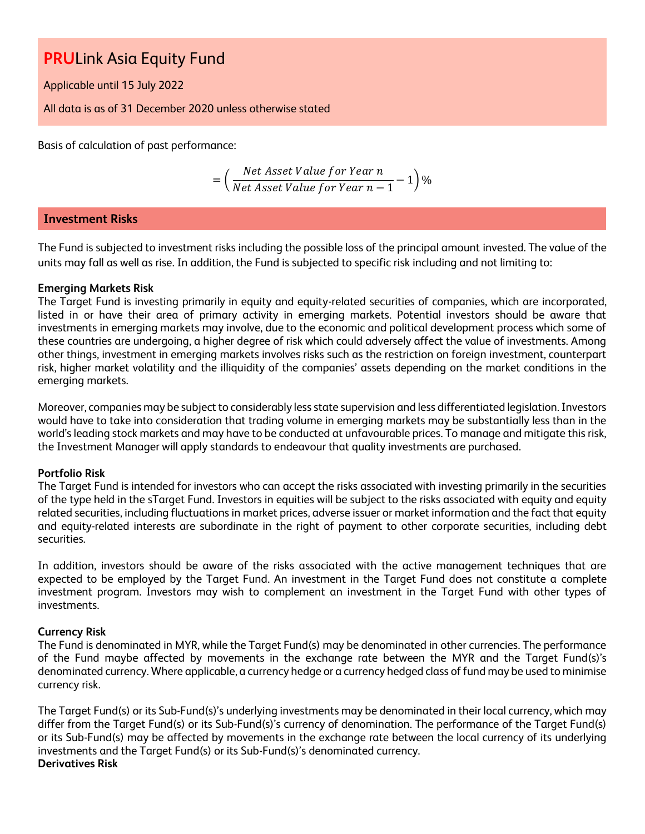Applicable until 15 July 2022

All data is as of 31 December 2020 unless otherwise stated

Basis of calculation of past performance:

= ( Net Asset Value for Year n  $\frac{1}{\sqrt{1-\frac{1}{n}}}$  + 1  $\frac{1}{\sqrt{1-\frac{1}{n}}}$  + 1  $\frac{1}{\sqrt{1-\frac{1}{n}}}$  + 1  $\frac{1}{\sqrt{1-\frac{1}{n}}}$  + 1  $\frac{1}{\sqrt{1-\frac{1}{n}}}$  + 1  $\frac{1}{\sqrt{1-\frac{1}{n}}}$  + 1  $\frac{1}{\sqrt{1-\frac{1}{n}}}$  + 1  $\frac{1}{\sqrt{1-\frac{1}{n}}}$  + 1  $\frac{1}{\sqrt{1-\frac{1}{n}}}$  + 1  $\frac{1}{\sqrt{1-\frac{1$ 

### **Investment Risks**

The Fund is subjected to investment risks including the possible loss of the principal amount invested. The value of the units may fall as well as rise. In addition, the Fund is subjected to specific risk including and not limiting to:

#### **Emerging Markets Risk**

The Target Fund is investing primarily in equity and equity-related securities of companies, which are incorporated, listed in or have their area of primary activity in emerging markets. Potential investors should be aware that investments in emerging markets may involve, due to the economic and political development process which some of these countries are undergoing, a higher degree of risk which could adversely affect the value of investments. Among other things, investment in emerging markets involves risks such as the restriction on foreign investment, counterpart risk, higher market volatility and the illiquidity of the companies' assets depending on the market conditions in the emerging markets.

Moreover, companies may be subject to considerably less state supervision and less differentiated legislation. Investors would have to take into consideration that trading volume in emerging markets may be substantially less than in the world's leading stock markets and may have to be conducted at unfavourable prices. To manage and mitigate this risk, the Investment Manager will apply standards to endeavour that quality investments are purchased.

#### **Portfolio Risk**

The Target Fund is intended for investors who can accept the risks associated with investing primarily in the securities of the type held in the sTarget Fund. Investors in equities will be subject to the risks associated with equity and equity related securities, including fluctuations in market prices, adverse issuer or market information and the fact that equity and equity-related interests are subordinate in the right of payment to other corporate securities, including debt securities.

In addition, investors should be aware of the risks associated with the active management techniques that are expected to be employed by the Target Fund. An investment in the Target Fund does not constitute a complete investment program. Investors may wish to complement an investment in the Target Fund with other types of investments.

#### **Currency Risk**

The Fund is denominated in MYR, while the Target Fund(s) may be denominated in other currencies. The performance of the Fund maybe affected by movements in the exchange rate between the MYR and the Target Fund(s)'s denominated currency. Where applicable, a currency hedge or a currency hedged class of fund may be used to minimise currency risk.

The Target Fund(s) or its Sub-Fund(s)'s underlying investments may be denominated in their local currency, which may differ from the Target Fund(s) or its Sub-Fund(s)'s currency of denomination. The performance of the Target Fund(s) or its Sub-Fund(s) may be affected by movements in the exchange rate between the local currency of its underlying investments and the Target Fund(s) or its Sub-Fund(s)'s denominated currency. **Derivatives Risk**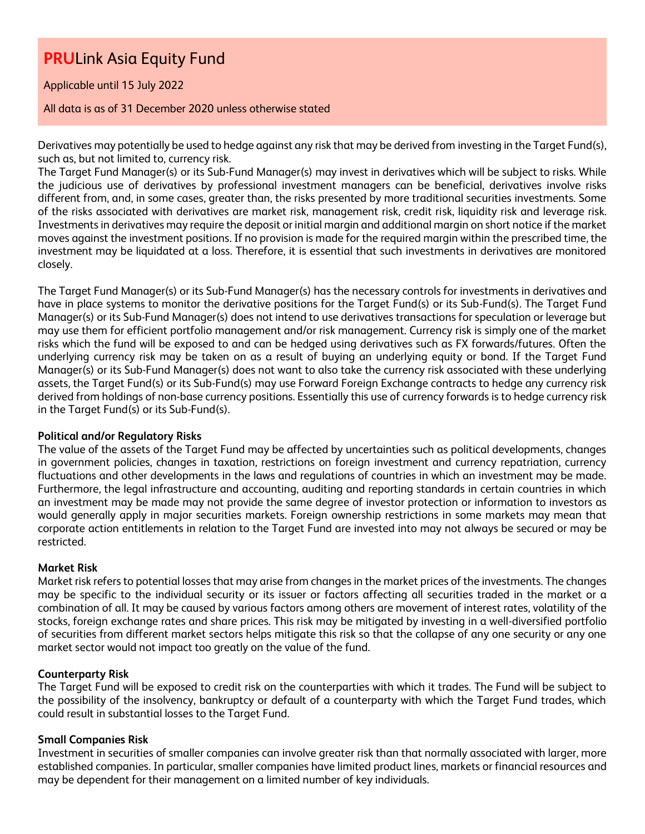Applicable until 15 July 2022

#### All data is as of 31 December 2020 unless otherwise stated

Derivatives may potentially be used to hedge against any risk that may be derived from investing in the Target Fund(s), such as, but not limited to, currency risk.

The Target Fund Manager(s) or its Sub-Fund Manager(s) may invest in derivatives which will be subject to risks. While the judicious use of derivatives by professional investment managers can be beneficial, derivatives involve risks different from, and, in some cases, greater than, the risks presented by more traditional securities investments. Some of the risks associated with derivatives are market risk, management risk, credit risk, liquidity risk and leverage risk. Investments in derivatives may require the deposit or initial margin and additional margin on short notice if the market moves against the investment positions. If no provision is made for the required margin within the prescribed time, the investment may be liquidated at a loss. Therefore, it is essential that such investments in derivatives are monitored closely.

The Target Fund Manager(s) or its Sub-Fund Manager(s) has the necessary controls for investments in derivatives and have in place systems to monitor the derivative positions for the Target Fund(s) or its Sub-Fund(s). The Target Fund Manager(s) or its Sub-Fund Manager(s) does not intend to use derivatives transactions for speculation or leverage but may use them for efficient portfolio management and/or risk management. Currency risk is simply one of the market risks which the fund will be exposed to and can be hedged using derivatives such as FX forwards/futures. Often the underlying currency risk may be taken on as a result of buying an underlying equity or bond. If the Target Fund Manager(s) or its Sub-Fund Manager(s) does not want to also take the currency risk associated with these underlying assets, the Target Fund(s) or its Sub-Fund(s) may use Forward Foreign Exchange contracts to hedge any currency risk derived from holdings of non-base currency positions. Essentially this use of currency forwards is to hedge currency risk in the Target Fund(s) or its Sub-Fund(s).

#### **Political and/or Regulatory Risks**

The value of the assets of the Target Fund may be affected by uncertainties such as political developments, changes in government policies, changes in taxation, restrictions on foreign investment and currency repatriation, currency fluctuations and other developments in the laws and regulations of countries in which an investment may be made. Furthermore, the legal infrastructure and accounting, auditing and reporting standards in certain countries in which an investment may be made may not provide the same degree of investor protection or information to investors as would generally apply in major securities markets. Foreign ownership restrictions in some markets may mean that corporate action entitlements in relation to the Target Fund are invested into may not always be secured or may be restricted.

#### **Market Risk**

Market risk refers to potential losses that may arise from changes in the market prices of the investments. The changes may be specific to the individual security or its issuer or factors affecting all securities traded in the market or a combination of all. It may be caused by various factors among others are movement of interest rates, volatility of the stocks, foreign exchange rates and share prices. This risk may be mitigated by investing in a well-diversified portfolio of securities from different market sectors helps mitigate this risk so that the collapse of any one security or any one market sector would not impact too greatly on the value of the fund.

#### **Counterparty Risk**

The Target Fund will be exposed to credit risk on the counterparties with which it trades. The Fund will be subject to the possibility of the insolvency, bankruptcy or default of a counterparty with which the Target Fund trades, which could result in substantial losses to the Target Fund.

#### **Small Companies Risk**

Investment in securities of smaller companies can involve greater risk than that normally associated with larger, more established companies. In particular, smaller companies have limited product lines, markets or financial resources and may be dependent for their management on a limited number of key individuals.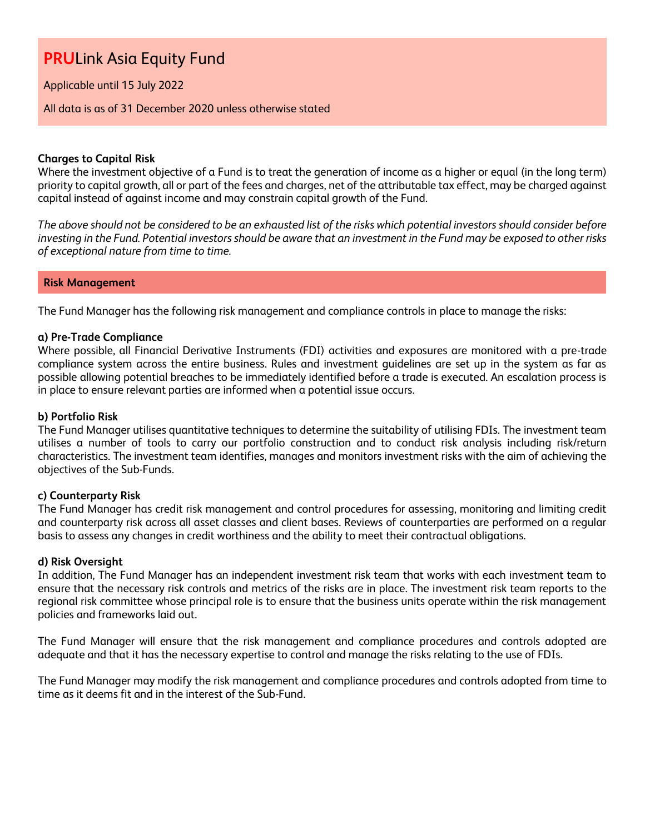Applicable until 15 July 2022

All data is as of 31 December 2020 unless otherwise stated

#### **Charges to Capital Risk**

Where the investment objective of a Fund is to treat the generation of income as a higher or equal (in the long term) priority to capital growth, all or part of the fees and charges, net of the attributable tax effect, may be charged against capital instead of against income and may constrain capital growth of the Fund.

*The above should not be considered to be an exhausted list of the risks which potential investors should consider before investing in the Fund. Potential investors should be aware that an investment in the Fund may be exposed to other risks of exceptional nature from time to time.*

#### **Risk Management**

The Fund Manager has the following risk management and compliance controls in place to manage the risks:

#### **a) Pre-Trade Compliance**

Where possible, all Financial Derivative Instruments (FDI) activities and exposures are monitored with a pre-trade compliance system across the entire business. Rules and investment guidelines are set up in the system as far as possible allowing potential breaches to be immediately identified before a trade is executed. An escalation process is in place to ensure relevant parties are informed when a potential issue occurs.

#### **b) Portfolio Risk**

The Fund Manager utilises quantitative techniques to determine the suitability of utilising FDIs. The investment team utilises a number of tools to carry our portfolio construction and to conduct risk analysis including risk/return characteristics. The investment team identifies, manages and monitors investment risks with the aim of achieving the objectives of the Sub-Funds.

#### **c) Counterparty Risk**

The Fund Manager has credit risk management and control procedures for assessing, monitoring and limiting credit and counterparty risk across all asset classes and client bases. Reviews of counterparties are performed on a regular basis to assess any changes in credit worthiness and the ability to meet their contractual obligations.

#### **d) Risk Oversight**

In addition, The Fund Manager has an independent investment risk team that works with each investment team to ensure that the necessary risk controls and metrics of the risks are in place. The investment risk team reports to the regional risk committee whose principal role is to ensure that the business units operate within the risk management policies and frameworks laid out.

The Fund Manager will ensure that the risk management and compliance procedures and controls adopted are adequate and that it has the necessary expertise to control and manage the risks relating to the use of FDIs.

The Fund Manager may modify the risk management and compliance procedures and controls adopted from time to time as it deems fit and in the interest of the Sub-Fund.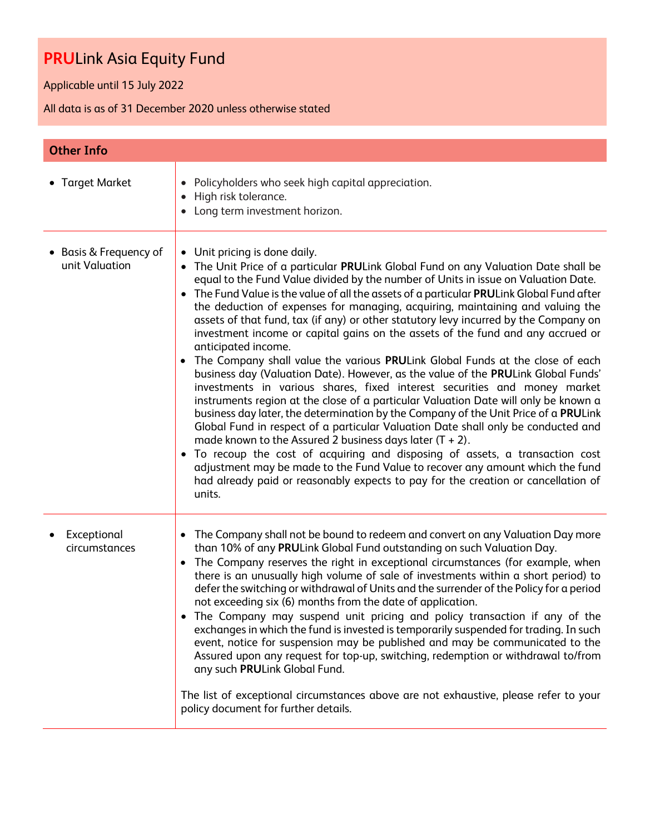Applicable until 15 July 2022

| <b>Other Info</b>                        |                                                                                                                                                                                                                                                                                                                                                                                                                                                                                                                                                                                                                                                                                                                                                                                                                                                                                                                                                                                                                                                                                                                                                                                                                                                                                                                                                                                                                                                                                               |
|------------------------------------------|-----------------------------------------------------------------------------------------------------------------------------------------------------------------------------------------------------------------------------------------------------------------------------------------------------------------------------------------------------------------------------------------------------------------------------------------------------------------------------------------------------------------------------------------------------------------------------------------------------------------------------------------------------------------------------------------------------------------------------------------------------------------------------------------------------------------------------------------------------------------------------------------------------------------------------------------------------------------------------------------------------------------------------------------------------------------------------------------------------------------------------------------------------------------------------------------------------------------------------------------------------------------------------------------------------------------------------------------------------------------------------------------------------------------------------------------------------------------------------------------------|
| • Target Market                          | Policyholders who seek high capital appreciation.<br>$\bullet$<br>High risk tolerance.<br>$\bullet$<br>Long term investment horizon.<br>$\bullet$                                                                                                                                                                                                                                                                                                                                                                                                                                                                                                                                                                                                                                                                                                                                                                                                                                                                                                                                                                                                                                                                                                                                                                                                                                                                                                                                             |
| • Basis & Frequency of<br>unit Valuation | Unit pricing is done daily.<br>$\bullet$<br>The Unit Price of a particular PRULink Global Fund on any Valuation Date shall be<br>$\bullet$<br>equal to the Fund Value divided by the number of Units in issue on Valuation Date.<br>The Fund Value is the value of all the assets of a particular PRULink Global Fund after<br>$\bullet$<br>the deduction of expenses for managing, acquiring, maintaining and valuing the<br>assets of that fund, tax (if any) or other statutory levy incurred by the Company on<br>investment income or capital gains on the assets of the fund and any accrued or<br>anticipated income.<br>The Company shall value the various PRULink Global Funds at the close of each<br>business day (Valuation Date). However, as the value of the PRULink Global Funds'<br>investments in various shares, fixed interest securities and money market<br>instruments region at the close of a particular Valuation Date will only be known a<br>business day later, the determination by the Company of the Unit Price of a PRULink<br>Global Fund in respect of a particular Valuation Date shall only be conducted and<br>made known to the Assured 2 business days later $(T + 2)$ .<br>To recoup the cost of acquiring and disposing of assets, a transaction cost<br>$\bullet$<br>adjustment may be made to the Fund Value to recover any amount which the fund<br>had already paid or reasonably expects to pay for the creation or cancellation of<br>units. |
| Exceptional<br>circumstances             | The Company shall not be bound to redeem and convert on any Valuation Day more<br>٠<br>than 10% of any PRULink Global Fund outstanding on such Valuation Day.<br>The Company reserves the right in exceptional circumstances (for example, when<br>there is an unusually high volume of sale of investments within a short period) to<br>defer the switching or withdrawal of Units and the surrender of the Policy for a period<br>not exceeding six (6) months from the date of application.<br>The Company may suspend unit pricing and policy transaction if any of the<br>$\bullet$<br>exchanges in which the fund is invested is temporarily suspended for trading. In such<br>event, notice for suspension may be published and may be communicated to the<br>Assured upon any request for top-up, switching, redemption or withdrawal to/from<br>any such PRULink Global Fund.<br>The list of exceptional circumstances above are not exhaustive, please refer to your<br>policy document for further details.                                                                                                                                                                                                                                                                                                                                                                                                                                                                        |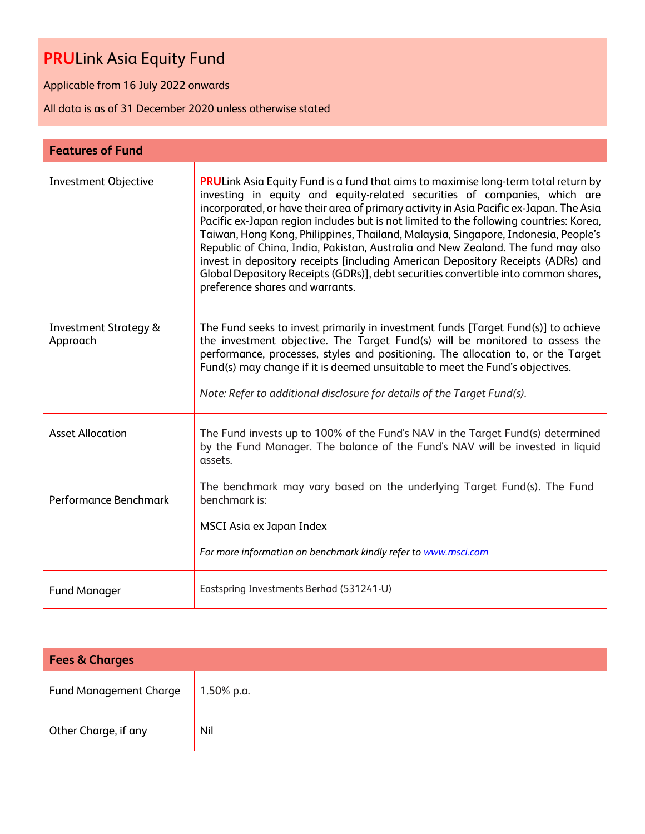Applicable from 16 July 2022 onwards

| <b>Features of Fund</b>                      |                                                                                                                                                                                                                                                                                                                                                                                                                                                                                                                                                                                                                                                                                                                                                     |
|----------------------------------------------|-----------------------------------------------------------------------------------------------------------------------------------------------------------------------------------------------------------------------------------------------------------------------------------------------------------------------------------------------------------------------------------------------------------------------------------------------------------------------------------------------------------------------------------------------------------------------------------------------------------------------------------------------------------------------------------------------------------------------------------------------------|
| <b>Investment Objective</b>                  | <b>PRULink Asia Equity Fund is a fund that aims to maximise long-term total return by</b><br>investing in equity and equity-related securities of companies, which are<br>incorporated, or have their area of primary activity in Asia Pacific ex-Japan. The Asia<br>Pacific ex-Japan region includes but is not limited to the following countries: Korea,<br>Taiwan, Hong Kong, Philippines, Thailand, Malaysia, Singapore, Indonesia, People's<br>Republic of China, India, Pakistan, Australia and New Zealand. The fund may also<br>invest in depository receipts [including American Depository Receipts (ADRs) and<br>Global Depository Receipts (GDRs)], debt securities convertible into common shares,<br>preference shares and warrants. |
| <b>Investment Strategy &amp;</b><br>Approach | The Fund seeks to invest primarily in investment funds [Target Fund(s)] to achieve<br>the investment objective. The Target Fund(s) will be monitored to assess the<br>performance, processes, styles and positioning. The allocation to, or the Target<br>Fund(s) may change if it is deemed unsuitable to meet the Fund's objectives.<br>Note: Refer to additional disclosure for details of the Target Fund(s).                                                                                                                                                                                                                                                                                                                                   |
| <b>Asset Allocation</b>                      | The Fund invests up to 100% of the Fund's NAV in the Target Fund(s) determined<br>by the Fund Manager. The balance of the Fund's NAV will be invested in liquid<br>assets.                                                                                                                                                                                                                                                                                                                                                                                                                                                                                                                                                                          |
| Performance Benchmark                        | The benchmark may vary based on the underlying Target Fund(s). The Fund<br>benchmark is:<br>MSCI Asia ex Japan Index<br>For more information on benchmark kindly refer to www.msci.com                                                                                                                                                                                                                                                                                                                                                                                                                                                                                                                                                              |
| <b>Fund Manager</b>                          | Eastspring Investments Berhad (531241-U)                                                                                                                                                                                                                                                                                                                                                                                                                                                                                                                                                                                                                                                                                                            |

| <b>Fees &amp; Charges</b>     |            |  |  |  |
|-------------------------------|------------|--|--|--|
| <b>Fund Management Charge</b> | 1.50% p.a. |  |  |  |
| Other Charge, if any          | Nil        |  |  |  |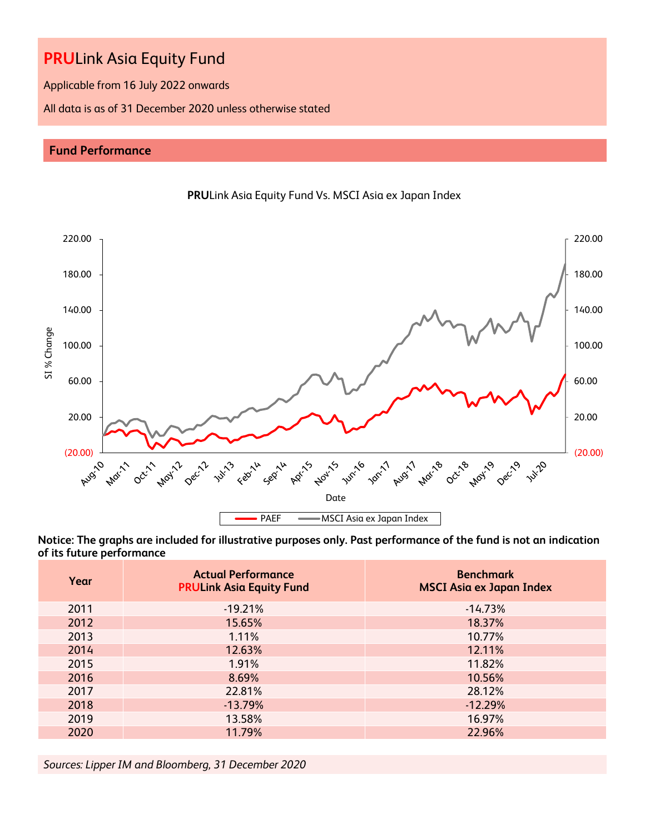Applicable from 16 July 2022 onwards

All data is as of 31 December 2020 unless otherwise stated

### **Fund Performance**





**Notice: The graphs are included for illustrative purposes only. Past performance of the fund is not an indication of its future performance**

| Year | <b>Actual Performance</b><br><b>PRULink Asia Equity Fund</b> | <b>Benchmark</b><br><b>MSCI Asia ex Japan Index</b> |
|------|--------------------------------------------------------------|-----------------------------------------------------|
| 2011 | $-19.21%$                                                    | $-14.73%$                                           |
| 2012 | 15.65%                                                       | 18.37%                                              |
| 2013 | 1.11%                                                        | 10.77%                                              |
| 2014 | 12.63%                                                       | 12.11%                                              |
| 2015 | 1.91%                                                        | 11.82%                                              |
| 2016 | 8.69%                                                        | 10.56%                                              |
| 2017 | 22.81%                                                       | 28.12%                                              |
| 2018 | $-13.79%$                                                    | $-12.29%$                                           |
| 2019 | 13.58%                                                       | 16.97%                                              |
| 2020 | 11.79%                                                       | 22.96%                                              |

*Sources: Lipper IM and Bloomberg, 31 December 2020*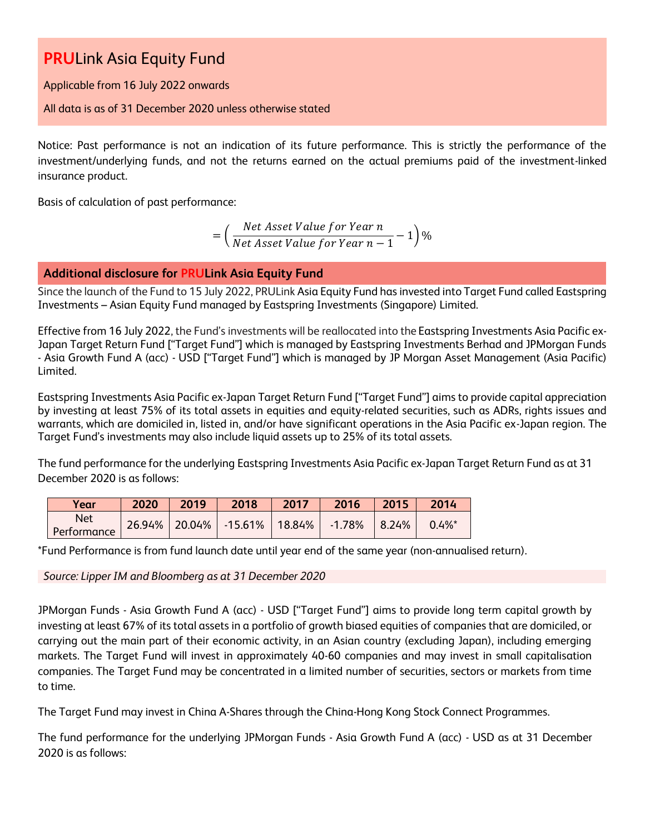Applicable from 16 July 2022 onwards

### All data is as of 31 December 2020 unless otherwise stated

Notice: Past performance is not an indication of its future performance. This is strictly the performance of the investment/underlying funds, and not the returns earned on the actual premiums paid of the investment-linked insurance product.

Basis of calculation of past performance:

= ( Net Asset Value for Year n  $\frac{1}{\sqrt{1-\frac{1}{n}}}$  1)%<br>Net Asset Value for Year  $n-1$ 

**Additional disclosure for PRULink Asia Equity Fund**

Since the launch of the Fund to 15 July 2022, PRULink Asia Equity Fund has invested into Target Fund called Eastspring Investments – Asian Equity Fund managed by Eastspring Investments (Singapore) Limited.

Effective from 16 July 2022, the Fund's investments will be reallocated into the Eastspring Investments Asia Pacific ex-Japan Target Return Fund ["Target Fund"] which is managed by Eastspring Investments Berhad and JPMorgan Funds - Asia Growth Fund A (acc) - USD ["Target Fund"] which is managed by JP Morgan Asset Management (Asia Pacific) Limited.

Eastspring Investments Asia Pacific ex-Japan Target Return Fund ["Target Fund"] aims to provide capital appreciation by investing at least 75% of its total assets in equities and equity-related securities, such as ADRs, rights issues and warrants, which are domiciled in, listed in, and/or have significant operations in the Asia Pacific ex-Japan region. The Target Fund's investments may also include liquid assets up to 25% of its total assets.

The fund performance for the underlying Eastspring Investments Asia Pacific ex-Japan Target Return Fund as at 31 December 2020 is as follows:

| Year               | 2020 | 2019 | 2018                               | 2017 | 2016            | 2015 | 2014      |
|--------------------|------|------|------------------------------------|------|-----------------|------|-----------|
| Net<br>Performance |      |      | 26.94%   20.04%   -15.61%   18.84% |      | $-1.78\%$ 8.24% |      | $0.4\%$ * |

\*Fund Performance is from fund launch date until year end of the same year (non-annualised return).

*Source: Lipper IM and Bloomberg as at 31 December 2020*

JPMorgan Funds - Asia Growth Fund A (acc) - USD ["Target Fund"] aims to provide long term capital growth by investing at least 67% of its total assets in a portfolio of growth biased equities of companies that are domiciled, or carrying out the main part of their economic activity, in an Asian country (excluding Japan), including emerging markets. The Target Fund will invest in approximately 40-60 companies and may invest in small capitalisation companies. The Target Fund may be concentrated in a limited number of securities, sectors or markets from time to time.

The Target Fund may invest in China A-Shares through the China-Hong Kong Stock Connect Programmes.

The fund performance for the underlying JPMorgan Funds - Asia Growth Fund A (acc) - USD as at 31 December 2020 is as follows: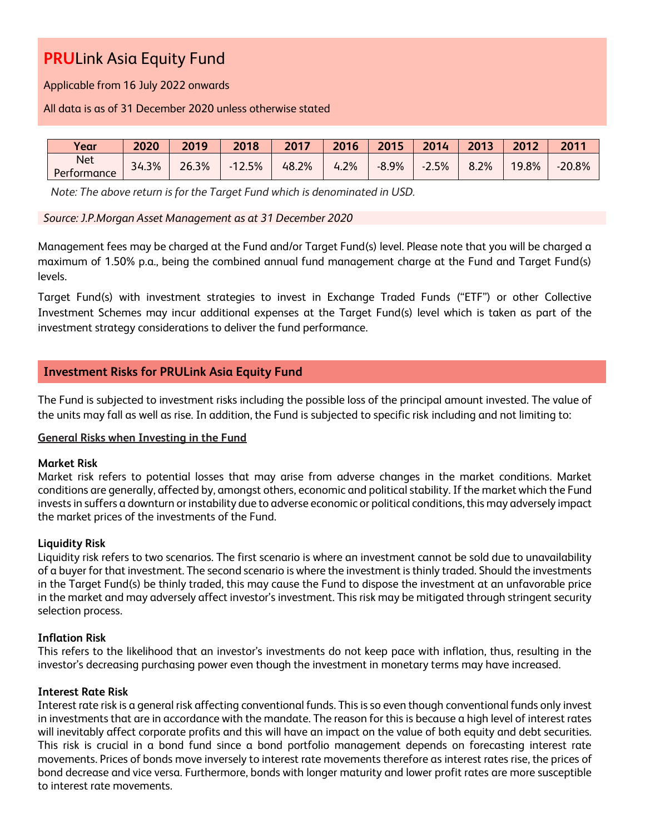Applicable from 16 July 2022 onwards

#### All data is as of 31 December 2020 unless otherwise stated

| Year                      | 2020  | 2019  | 2018          | 2017  | 2016 | 2015    | 2014                                  | 2013 | 2012  | 2011     |
|---------------------------|-------|-------|---------------|-------|------|---------|---------------------------------------|------|-------|----------|
| <b>Net</b><br>Performance | 34.3% | 26.3% | 2.5%<br>$-12$ | 48.2% | 4.2% | $-8.9%$ | 5%<br>$\overline{\phantom{a}}$<br>ر . | 8.2% | 19.8% | $-20.8%$ |

*Note: The above return is for the Target Fund which is denominated in USD.* 

#### *Source: J.P.Morgan Asset Management as at 31 December 2020*

Management fees may be charged at the Fund and/or Target Fund(s) level. Please note that you will be charged a maximum of 1.50% p.a., being the combined annual fund management charge at the Fund and Target Fund(s) levels.

Target Fund(s) with investment strategies to invest in Exchange Traded Funds ("ETF") or other Collective Investment Schemes may incur additional expenses at the Target Fund(s) level which is taken as part of the investment strategy considerations to deliver the fund performance.

### **Investment Risks for PRULink Asia Equity Fund**

The Fund is subjected to investment risks including the possible loss of the principal amount invested. The value of the units may fall as well as rise. In addition, the Fund is subjected to specific risk including and not limiting to:

#### **General Risks when Investing in the Fund**

#### **Market Risk**

Market risk refers to potential losses that may arise from adverse changes in the market conditions. Market conditions are generally, affected by, amongst others, economic and political stability. If the market which the Fund invests in suffers a downturn or instability due to adverse economic or political conditions, this may adversely impact the market prices of the investments of the Fund.

#### **Liquidity Risk**

Liquidity risk refers to two scenarios. The first scenario is where an investment cannot be sold due to unavailability of a buyer for that investment. The second scenario is where the investment is thinly traded. Should the investments in the Target Fund(s) be thinly traded, this may cause the Fund to dispose the investment at an unfavorable price in the market and may adversely affect investor's investment. This risk may be mitigated through stringent security selection process.

#### **Inflation Risk**

This refers to the likelihood that an investor's investments do not keep pace with inflation, thus, resulting in the investor's decreasing purchasing power even though the investment in monetary terms may have increased.

#### **Interest Rate Risk**

Interest rate risk is a general risk affecting conventional funds. This is so even though conventional funds only invest in investments that are in accordance with the mandate. The reason for this is because a high level of interest rates will inevitably affect corporate profits and this will have an impact on the value of both equity and debt securities. This risk is crucial in a bond fund since a bond portfolio management depends on forecasting interest rate movements. Prices of bonds move inversely to interest rate movements therefore as interest rates rise, the prices of bond decrease and vice versa. Furthermore, bonds with longer maturity and lower profit rates are more susceptible to interest rate movements.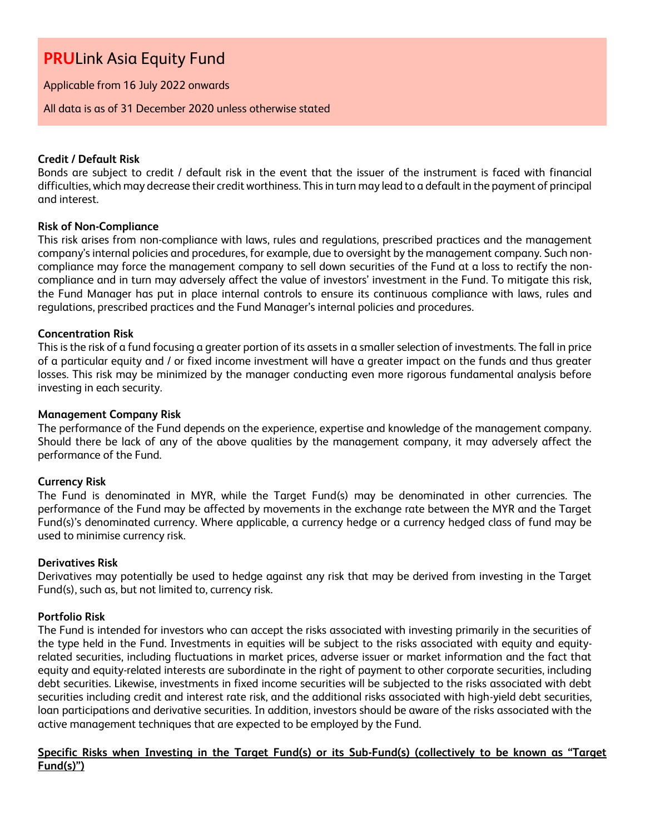Applicable from 16 July 2022 onwards

All data is as of 31 December 2020 unless otherwise stated

#### **Credit / Default Risk**

Bonds are subject to credit / default risk in the event that the issuer of the instrument is faced with financial difficulties, which may decrease their credit worthiness. This in turn may lead to a default in the payment of principal and interest.

#### **Risk of Non-Compliance**

This risk arises from non-compliance with laws, rules and regulations, prescribed practices and the management company's internal policies and procedures, for example, due to oversight by the management company. Such noncompliance may force the management company to sell down securities of the Fund at a loss to rectify the noncompliance and in turn may adversely affect the value of investors' investment in the Fund. To mitigate this risk, the Fund Manager has put in place internal controls to ensure its continuous compliance with laws, rules and regulations, prescribed practices and the Fund Manager's internal policies and procedures.

#### **Concentration Risk**

This is the risk of a fund focusing a greater portion of its assets in a smaller selection of investments. The fall in price of a particular equity and / or fixed income investment will have a greater impact on the funds and thus greater losses. This risk may be minimized by the manager conducting even more rigorous fundamental analysis before investing in each security.

#### **Management Company Risk**

The performance of the Fund depends on the experience, expertise and knowledge of the management company. Should there be lack of any of the above qualities by the management company, it may adversely affect the performance of the Fund.

#### **Currency Risk**

The Fund is denominated in MYR, while the Target Fund(s) may be denominated in other currencies. The performance of the Fund may be affected by movements in the exchange rate between the MYR and the Target Fund(s)'s denominated currency. Where applicable, a currency hedge or a currency hedged class of fund may be used to minimise currency risk.

#### **Derivatives Risk**

Derivatives may potentially be used to hedge against any risk that may be derived from investing in the Target Fund(s), such as, but not limited to, currency risk.

#### **Portfolio Risk**

The Fund is intended for investors who can accept the risks associated with investing primarily in the securities of the type held in the Fund. Investments in equities will be subject to the risks associated with equity and equityrelated securities, including fluctuations in market prices, adverse issuer or market information and the fact that equity and equity-related interests are subordinate in the right of payment to other corporate securities, including debt securities. Likewise, investments in fixed income securities will be subjected to the risks associated with debt securities including credit and interest rate risk, and the additional risks associated with high-yield debt securities, loan participations and derivative securities. In addition, investors should be aware of the risks associated with the active management techniques that are expected to be employed by the Fund.

### **Specific Risks when Investing in the Target Fund(s) or its Sub-Fund(s) (collectively to be known as "Target Fund(s)")**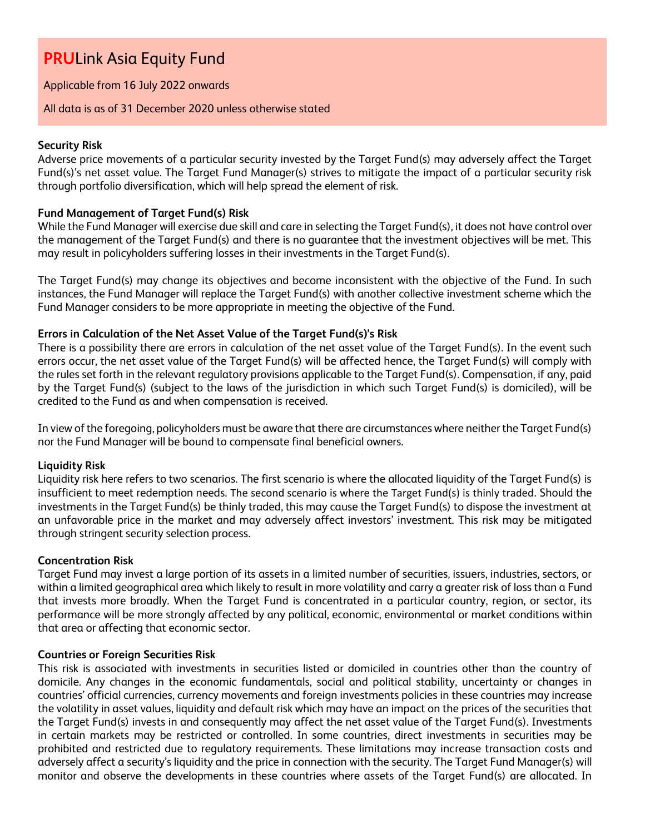Applicable from 16 July 2022 onwards

#### All data is as of 31 December 2020 unless otherwise stated

### **Security Risk**

Adverse price movements of a particular security invested by the Target Fund(s) may adversely affect the Target Fund(s)'s net asset value. The Target Fund Manager(s) strives to mitigate the impact of a particular security risk through portfolio diversification, which will help spread the element of risk.

### **Fund Management of Target Fund(s) Risk**

While the Fund Manager will exercise due skill and care in selecting the Target Fund(s), it does not have control over the management of the Target Fund(s) and there is no guarantee that the investment objectives will be met. This may result in policyholders suffering losses in their investments in the Target Fund(s).

The Target Fund(s) may change its objectives and become inconsistent with the objective of the Fund. In such instances, the Fund Manager will replace the Target Fund(s) with another collective investment scheme which the Fund Manager considers to be more appropriate in meeting the objective of the Fund.

#### **Errors in Calculation of the Net Asset Value of the Target Fund(s)'s Risk**

There is a possibility there are errors in calculation of the net asset value of the Target Fund(s). In the event such errors occur, the net asset value of the Target Fund(s) will be affected hence, the Target Fund(s) will comply with the rules set forth in the relevant regulatory provisions applicable to the Target Fund(s). Compensation, if any, paid by the Target Fund(s) (subject to the laws of the jurisdiction in which such Target Fund(s) is domiciled), will be credited to the Fund as and when compensation is received.

In view of the foregoing, policyholders must be aware that there are circumstances where neither the Target Fund(s) nor the Fund Manager will be bound to compensate final beneficial owners.

#### **Liquidity Risk**

Liquidity risk here refers to two scenarios. The first scenario is where the allocated liquidity of the Target Fund(s) is insufficient to meet redemption needs. The second scenario is where the Target Fund(s) is thinly traded. Should the investments in the Target Fund(s) be thinly traded, this may cause the Target Fund(s) to dispose the investment at an unfavorable price in the market and may adversely affect investors' investment. This risk may be mitigated through stringent security selection process.

#### **Concentration Risk**

Target Fund may invest a large portion of its assets in a limited number of securities, issuers, industries, sectors, or within a limited geographical area which likely to result in more volatility and carry a greater risk of loss than a Fund that invests more broadly. When the Target Fund is concentrated in a particular country, region, or sector, its performance will be more strongly affected by any political, economic, environmental or market conditions within that area or affecting that economic sector.

#### **Countries or Foreign Securities Risk**

This risk is associated with investments in securities listed or domiciled in countries other than the country of domicile. Any changes in the economic fundamentals, social and political stability, uncertainty or changes in countries' official currencies, currency movements and foreign investments policies in these countries may increase the volatility in asset values, liquidity and default risk which may have an impact on the prices of the securities that the Target Fund(s) invests in and consequently may affect the net asset value of the Target Fund(s). Investments in certain markets may be restricted or controlled. In some countries, direct investments in securities may be prohibited and restricted due to regulatory requirements. These limitations may increase transaction costs and adversely affect a security's liquidity and the price in connection with the security. The Target Fund Manager(s) will monitor and observe the developments in these countries where assets of the Target Fund(s) are allocated. In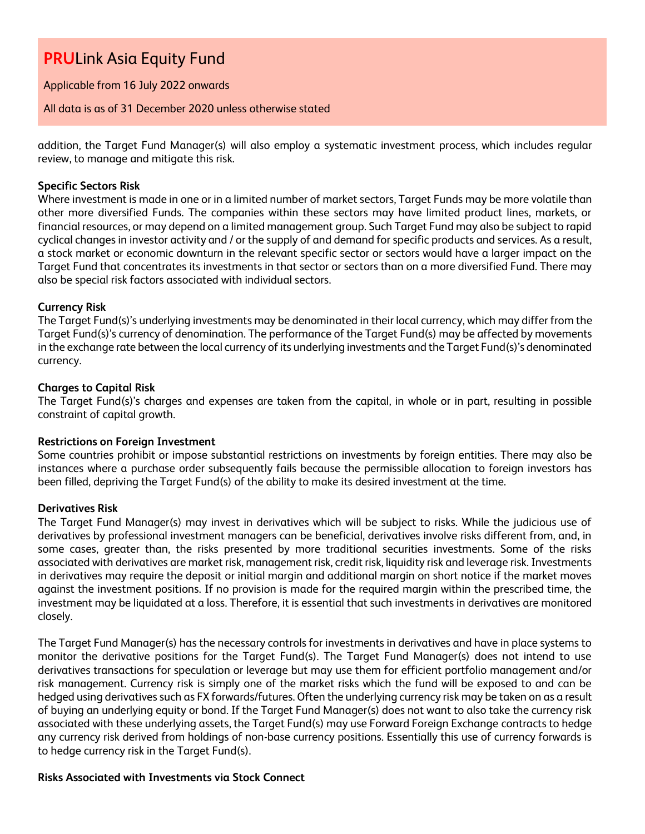Applicable from 16 July 2022 onwards

All data is as of 31 December 2020 unless otherwise stated

addition, the Target Fund Manager(s) will also employ a systematic investment process, which includes regular review, to manage and mitigate this risk.

### **Specific Sectors Risk**

Where investment is made in one or in a limited number of market sectors, Target Funds may be more volatile than other more diversified Funds. The companies within these sectors may have limited product lines, markets, or financial resources, or may depend on a limited management group. Such Target Fund may also be subject to rapid cyclical changes in investor activity and / or the supply of and demand for specific products and services. As a result, a stock market or economic downturn in the relevant specific sector or sectors would have a larger impact on the Target Fund that concentrates its investments in that sector or sectors than on a more diversified Fund. There may also be special risk factors associated with individual sectors.

#### **Currency Risk**

The Target Fund(s)'s underlying investments may be denominated in their local currency, which may differ from the Target Fund(s)'s currency of denomination. The performance of the Target Fund(s) may be affected by movements in the exchange rate between the local currency of its underlying investments and the Target Fund(s)'s denominated currency.

#### **Charges to Capital Risk**

The Target Fund(s)'s charges and expenses are taken from the capital, in whole or in part, resulting in possible constraint of capital growth.

#### **Restrictions on Foreign Investment**

Some countries prohibit or impose substantial restrictions on investments by foreign entities. There may also be instances where a purchase order subsequently fails because the permissible allocation to foreign investors has been filled, depriving the Target Fund(s) of the ability to make its desired investment at the time.

#### **Derivatives Risk**

The Target Fund Manager(s) may invest in derivatives which will be subject to risks. While the judicious use of derivatives by professional investment managers can be beneficial, derivatives involve risks different from, and, in some cases, greater than, the risks presented by more traditional securities investments. Some of the risks associated with derivatives are market risk, management risk, credit risk, liquidity risk and leverage risk. Investments in derivatives may require the deposit or initial margin and additional margin on short notice if the market moves against the investment positions. If no provision is made for the required margin within the prescribed time, the investment may be liquidated at a loss. Therefore, it is essential that such investments in derivatives are monitored closely.

The Target Fund Manager(s) has the necessary controls for investments in derivatives and have in place systems to monitor the derivative positions for the Target Fund(s). The Target Fund Manager(s) does not intend to use derivatives transactions for speculation or leverage but may use them for efficient portfolio management and/or risk management. Currency risk is simply one of the market risks which the fund will be exposed to and can be hedged using derivatives such as FX forwards/futures. Often the underlying currency risk may be taken on as a result of buying an underlying equity or bond. If the Target Fund Manager(s) does not want to also take the currency risk associated with these underlying assets, the Target Fund(s) may use Forward Foreign Exchange contracts to hedge any currency risk derived from holdings of non-base currency positions. Essentially this use of currency forwards is to hedge currency risk in the Target Fund(s).

#### **Risks Associated with Investments via Stock Connect**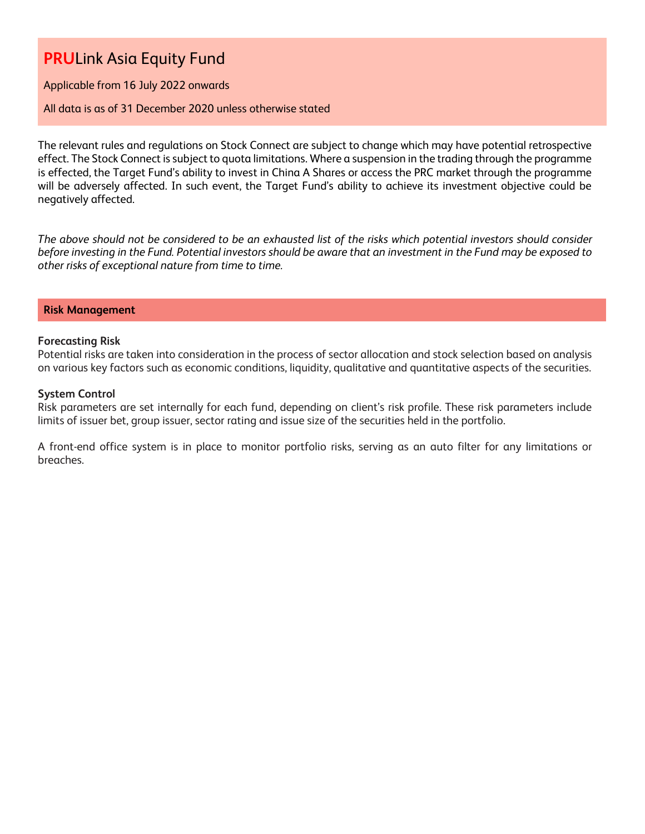Applicable from 16 July 2022 onwards

#### All data is as of 31 December 2020 unless otherwise stated

The relevant rules and regulations on Stock Connect are subject to change which may have potential retrospective effect. The Stock Connect is subject to quota limitations. Where a suspension in the trading through the programme is effected, the Target Fund's ability to invest in China A Shares or access the PRC market through the programme will be adversely affected. In such event, the Target Fund's ability to achieve its investment objective could be negatively affected.

*The above should not be considered to be an exhausted list of the risks which potential investors should consider before investing in the Fund. Potential investors should be aware that an investment in the Fund may be exposed to other risks of exceptional nature from time to time.*

#### **Risk Management**

#### **Forecasting Risk**

Potential risks are taken into consideration in the process of sector allocation and stock selection based on analysis on various key factors such as economic conditions, liquidity, qualitative and quantitative aspects of the securities.

#### **System Control**

Risk parameters are set internally for each fund, depending on client's risk profile. These risk parameters include limits of issuer bet, group issuer, sector rating and issue size of the securities held in the portfolio.

A front-end office system is in place to monitor portfolio risks, serving as an auto filter for any limitations or breaches.